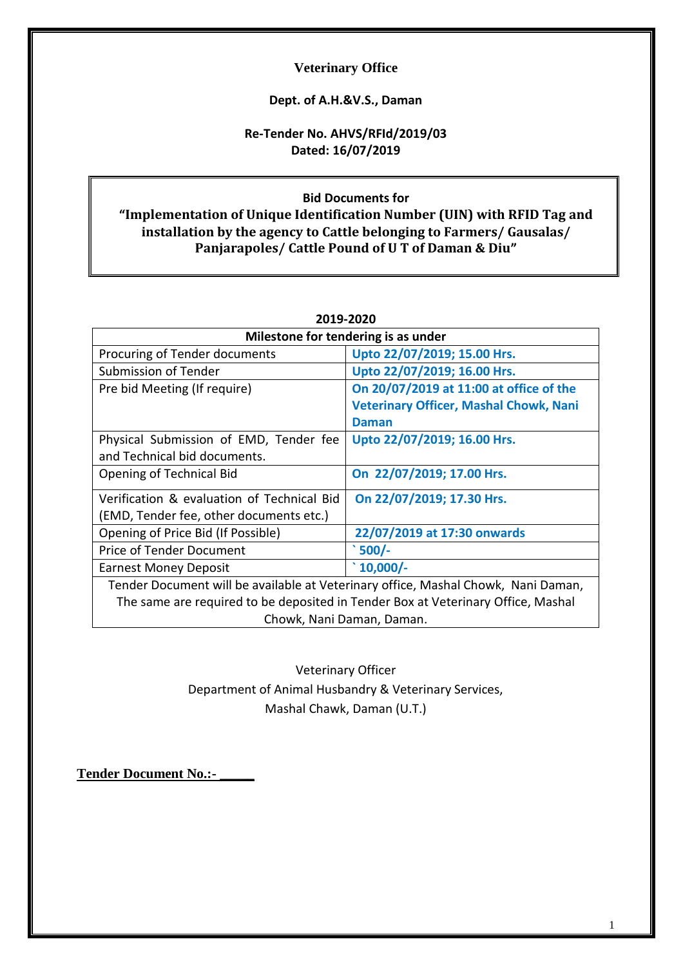## **Veterinary Office**

## **Dept. of A.H.&V.S., Daman**

# **Re-Tender No. AHVS/RFId/2019/03 Dated: 16/07/2019**

# **Bid Documents for "Implementation of Unique Identification Number (UIN) with RFID Tag and installation by the agency to Cattle belonging to Farmers/ Gausalas/ Panjarapoles/ Cattle Pound of U T of Daman & Diu"**

| Milestone for tendering is as under                                               |                                               |  |
|-----------------------------------------------------------------------------------|-----------------------------------------------|--|
| Procuring of Tender documents                                                     | Upto 22/07/2019; 15.00 Hrs.                   |  |
| Submission of Tender                                                              | Upto 22/07/2019; 16.00 Hrs.                   |  |
| Pre bid Meeting (If require)                                                      | On 20/07/2019 at 11:00 at office of the       |  |
|                                                                                   | <b>Veterinary Officer, Mashal Chowk, Nani</b> |  |
|                                                                                   | Daman                                         |  |
| Physical Submission of EMD, Tender fee                                            | Upto 22/07/2019; 16.00 Hrs.                   |  |
| and Technical bid documents.                                                      |                                               |  |
| Opening of Technical Bid                                                          | On 22/07/2019; 17.00 Hrs.                     |  |
| Verification & evaluation of Technical Bid                                        | On 22/07/2019; 17.30 Hrs.                     |  |
| (EMD, Tender fee, other documents etc.)                                           |                                               |  |
| Opening of Price Bid (If Possible)                                                | 22/07/2019 at 17:30 onwards                   |  |
| Price of Tender Document                                                          | $500/-$                                       |  |
| $\degree$ 10,000/-<br><b>Earnest Money Deposit</b>                                |                                               |  |
| Tender Document will be available at Veterinary office, Mashal Chowk, Nani Daman, |                                               |  |
| The same are required to be deposited in Tender Box at Veterinary Office, Mashal  |                                               |  |
| Chowk, Nani Daman, Daman.                                                         |                                               |  |

**2019-2020**

Veterinary Officer Department of Animal Husbandry & Veterinary Services, Mashal Chawk, Daman (U.T.)

**Tender Document No.:- \_\_\_\_\_**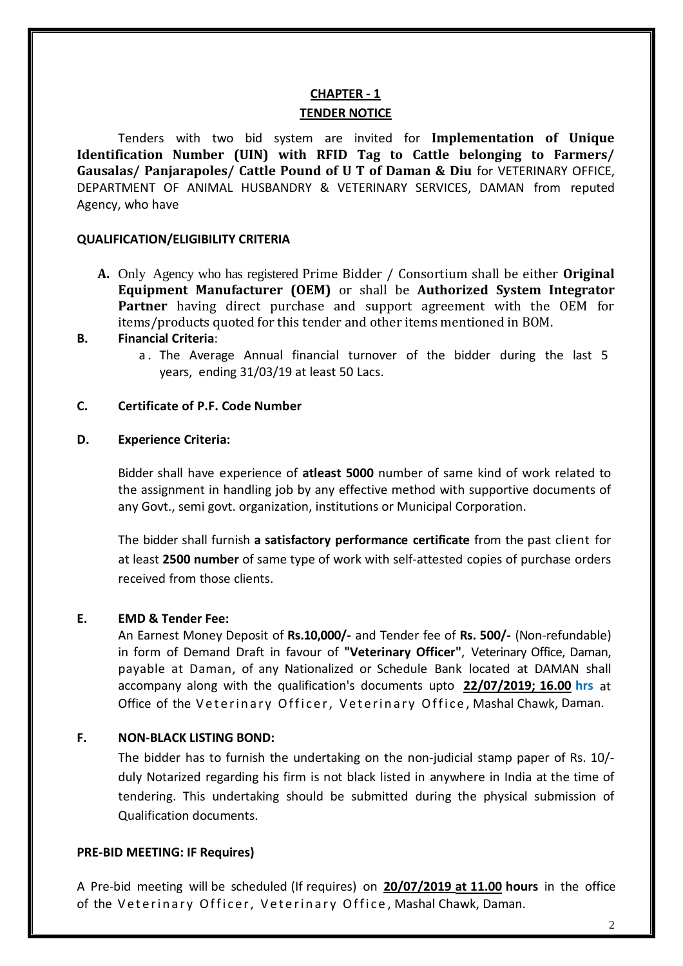# **CHAPTER - 1 TENDER NOTICE**

Tenders with two bid system are invited for **Implementation of Unique Identification Number (UIN) with RFID Tag to Cattle belonging to Farmers/ Gausalas/ Panjarapoles/ Cattle Pound of U T of Daman & Diu** for VETERINARY OFFICE, DEPARTMENT OF ANIMAL HUSBANDRY & VETERINARY SERVICES, DAMAN from reputed Agency, who have

## **QUALIFICATION/ELIGIBILITY CRITERIA**

**A.** Only Agency who has registered Prime Bidder / Consortium shall be either **Original Equipment Manufacturer (OEM)** or shall be **Authorized System Integrator Partner** having direct purchase and support agreement with the OEM for items/products quoted for this tender and other items mentioned in BOM.

## **B. Financial Criteria**:

a . The Average Annual financial turnover of the bidder during the last 5 years, ending 31/03/19 at least 50 Lacs.

### **C. Certificate of P.F. Code Number**

### **D. Experience Criteria:**

Bidder shall have experience of **atleast 5000** number of same kind of work related to the assignment in handling job by any effective method with supportive documents of any Govt., semi govt. organization, institutions or Municipal Corporation.

The bidder shall furnish **a satisfactory performance certificate** from the past client for at least **2500 number** of same type of work with self-attested copies of purchase orders received from those clients.

## **E. EMD & Tender Fee:**

An Earnest Money Deposit of **Rs.10,000/-** and Tender fee of **Rs. 500/-** (Non-refundable) in form of Demand Draft in favour of **"Veterinary Officer"**, Veterinary Office, Daman, payable at Daman, of any Nationalized or Schedule Bank located at DAMAN shall accompany along with the qualification's documents upto **22/07/2019; 16.00 hrs** at Office of the Veterinary Officer, Veterinary Office, Mashal Chawk, Daman.

## **F. NON-BLACK LISTING BOND:**

The bidder has to furnish the undertaking on the non-judicial stamp paper of Rs. 10/ duly Notarized regarding his firm is not black listed in anywhere in India at the time of tendering. This undertaking should be submitted during the physical submission of Qualification documents.

#### **PRE-BID MEETING: IF Requires)**

A Pre-bid meeting will be scheduled (If requires) on **20/07/2019 at 11.00 hours** in the office of the Veterinary Officer, Veterinary Office, Mashal Chawk, Daman.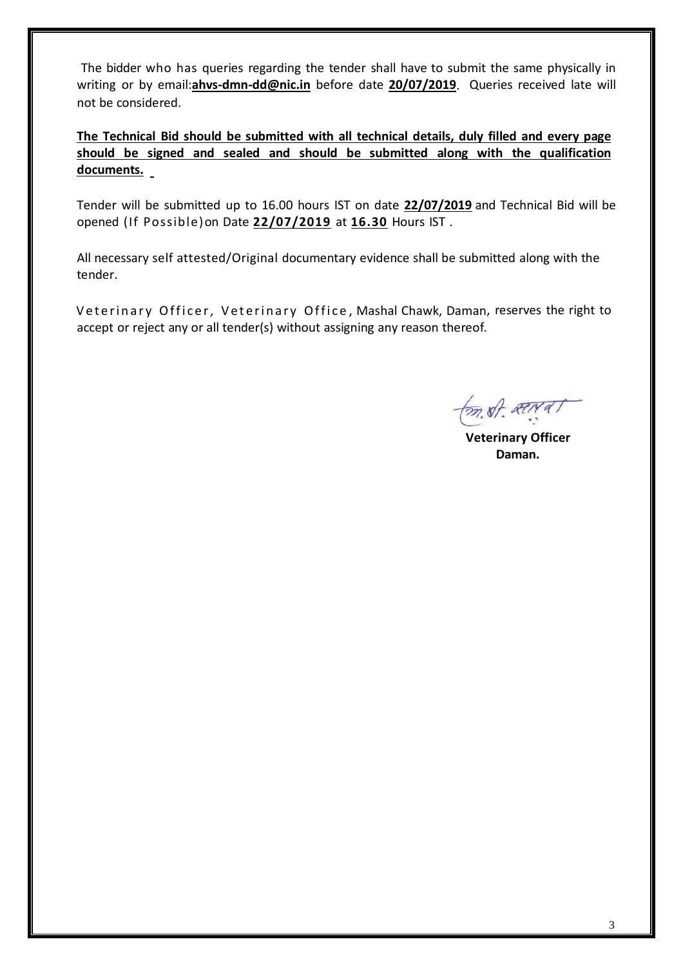The bidder who has queries regarding the tender shall have to submit the same physically in writing or by email:**ahvs-dmn-dd@nic.in** before date **20/07/2019**. Queries received late will not be considered.

**The Technical Bid should be submitted with all technical details, duly filled and every page should be signed and sealed and should be submitted along with the qualification documents.**

Tender will be submitted up to 16.00 hours IST on date **22/07/2019** and Technical Bid will be opened (If Possible)on Date **22/07/2019** at **16.30** Hours IST .

All necessary self attested/Original documentary evidence shall be submitted along with the tender.

Veterinary Officer, Veterinary Office, Mashal Chawk, Daman, reserves the right to accept or reject any or all tender(s) without assigning any reason thereof.

mot aterial

 **Veterinary Officer Daman.**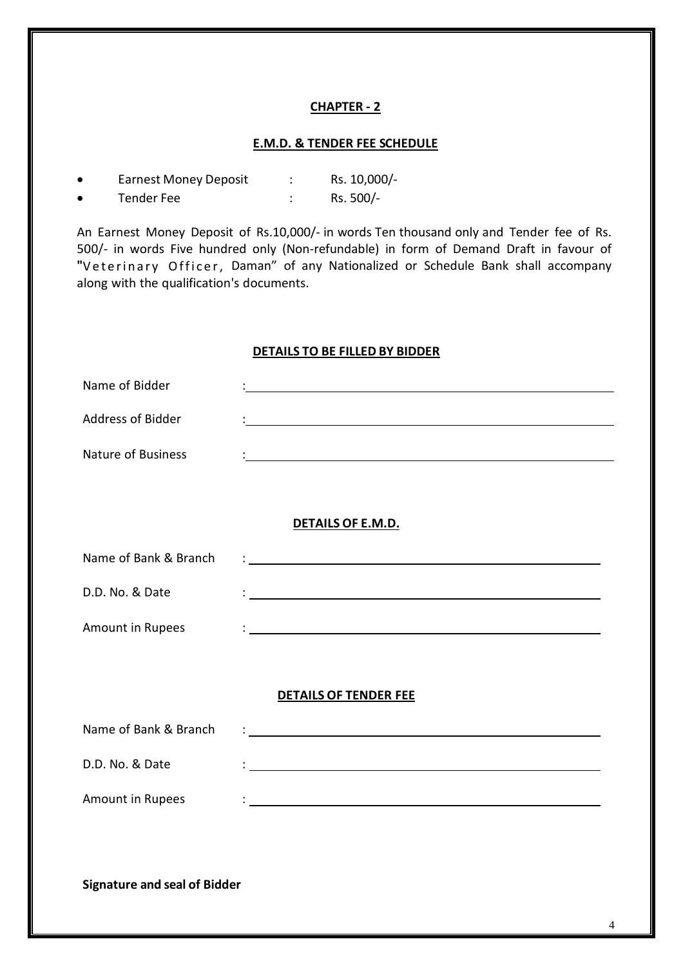#### **E.M.D. & TENDER FEE SCHEDULE**

| <b>Earnest Money Deposit</b> | Rs. 10,000/- |
|------------------------------|--------------|
| Tender Fee                   | Rs. 500/-    |

An Earnest Money Deposit of Rs.10,000/- in words Ten thousand only and Tender fee of Rs. 500/- in words Five hundred only (Non-refundable) in form of Demand Draft in favour of "Veterinary Officer, Daman" of any Nationalized or Schedule Bank shall accompany along with the qualification's documents.

#### **DETAILS TO BE FILLED BY BIDDER**

| Name of Bidder                      | <u> 1980 - Johann Barbara, martxa alemaniar arg</u>                                                                                                                                                                                  |
|-------------------------------------|--------------------------------------------------------------------------------------------------------------------------------------------------------------------------------------------------------------------------------------|
| <b>Address of Bidder</b>            |                                                                                                                                                                                                                                      |
| <b>Nature of Business</b>           |                                                                                                                                                                                                                                      |
|                                     |                                                                                                                                                                                                                                      |
|                                     | DETAILS OF E.M.D.                                                                                                                                                                                                                    |
| Name of Bank & Branch               | <u> : a construction de la construction de la construction de la construction de la construction de la construction de la construction de la construction de la construction de la construction de la construction de la constru</u> |
| D.D. No. & Date                     | <u> 1989 - Johann Stoff, amerikansk politiker (d. 1989)</u>                                                                                                                                                                          |
| Amount in Rupees                    | <u> 1989 - Johann Barn, mars ar breithinn ar chuid ann an t-Alban ann an t-Alban ann an t-Alban ann an t-Alban a</u>                                                                                                                 |
|                                     |                                                                                                                                                                                                                                      |
|                                     | <b>DETAILS OF TENDER FEE</b>                                                                                                                                                                                                         |
| Name of Bank & Branch               |                                                                                                                                                                                                                                      |
| D.D. No. & Date                     |                                                                                                                                                                                                                                      |
| Amount in Rupees                    | <u> 1989 - Johann Barbara, martxa alemaniar arg</u>                                                                                                                                                                                  |
|                                     |                                                                                                                                                                                                                                      |
|                                     |                                                                                                                                                                                                                                      |
| <b>Signature and seal of Bidder</b> |                                                                                                                                                                                                                                      |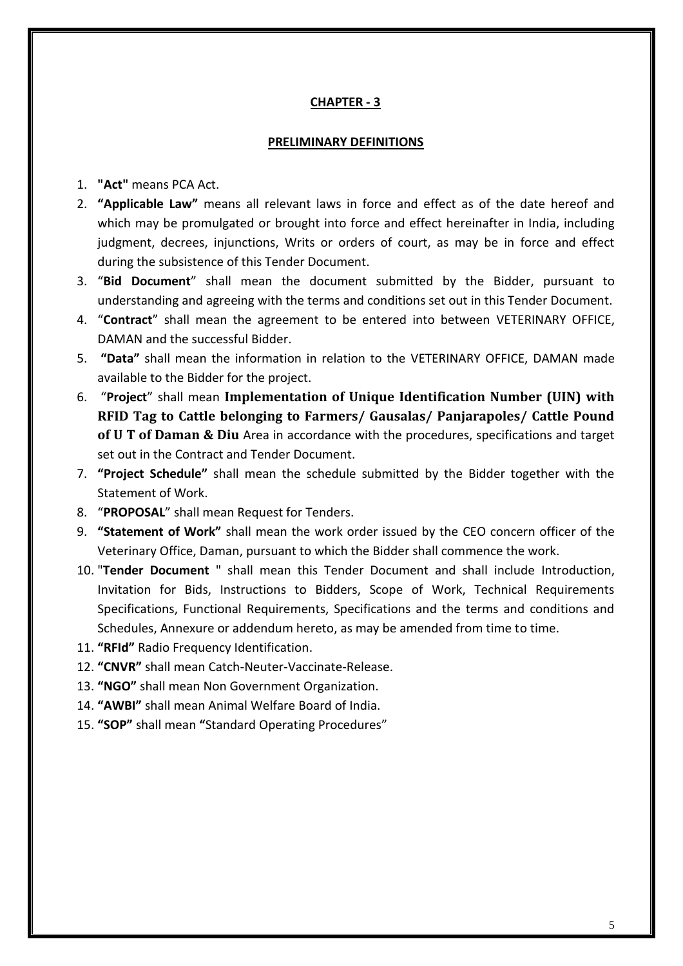#### **PRELIMINARY DEFINITIONS**

- 1. **"Act"** means PCA Act.
- 2. **"Applicable Law"** means all relevant laws in force and effect as of the date hereof and which may be promulgated or brought into force and effect hereinafter in India, including judgment, decrees, injunctions, Writs or orders of court, as may be in force and effect during the subsistence of this Tender Document.
- 3. "**Bid Document**" shall mean the document submitted by the Bidder, pursuant to understanding and agreeing with the terms and conditions set out in this Tender Document.
- 4. "**Contract**" shall mean the agreement to be entered into between VETERINARY OFFICE, DAMAN and the successful Bidder.
- 5. **"Data"** shall mean the information in relation to the VETERINARY OFFICE, DAMAN made available to the Bidder for the project.
- 6. "**Project**" shall mean **Implementation of Unique Identification Number (UIN) with RFID Tag to Cattle belonging to Farmers/ Gausalas/ Panjarapoles/ Cattle Pound of U T of Daman & Diu** Area in accordance with the procedures, specifications and target set out in the Contract and Tender Document.
- 7. **"Project Schedule"** shall mean the schedule submitted by the Bidder together with the Statement of Work.
- 8. "**PROPOSAL**" shall mean Request for Tenders.
- 9. **"Statement of Work"** shall mean the work order issued by the CEO concern officer of the Veterinary Office, Daman, pursuant to which the Bidder shall commence the work.
- 10. "**Tender Document** " shall mean this Tender Document and shall include Introduction, Invitation for Bids, Instructions to Bidders, Scope of Work, Technical Requirements Specifications, Functional Requirements, Specifications and the terms and conditions and Schedules, Annexure or addendum hereto, as may be amended from time to time.
- 11. **"RFId"** Radio Frequency Identification.
- 12. **"CNVR"** shall mean Catch-Neuter-Vaccinate-Release.
- 13. **"NGO"** shall mean Non Government Organization.
- 14. **"AWBI"** shall mean Animal Welfare Board of India.
- 15. **"SOP"** shall mean **"**Standard Operating Procedures"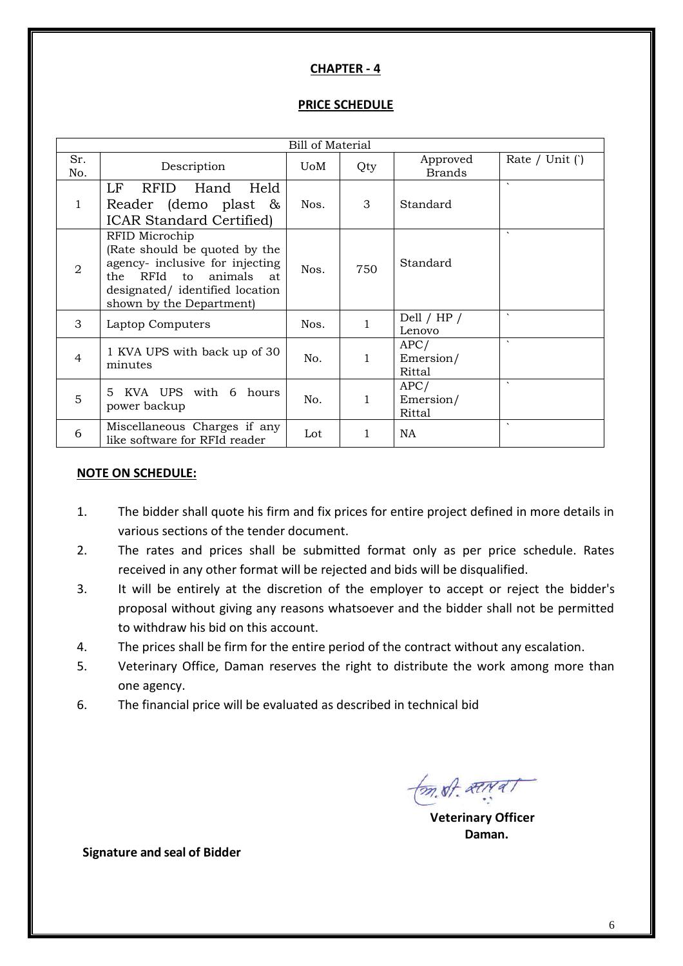## **PRICE SCHEDULE**

| Bill of Material |                                                                                                                                                                                      |             |     |                             |                  |
|------------------|--------------------------------------------------------------------------------------------------------------------------------------------------------------------------------------|-------------|-----|-----------------------------|------------------|
| Sr.<br>No.       | Description                                                                                                                                                                          | <b>U</b> oM | Qty | Approved<br><b>Brands</b>   | Rate / Unit $()$ |
| $\mathbf{1}$     | LF<br><b>RFID</b><br>Held<br>Hand<br>Reader (demo plast $\&$<br><b>ICAR Standard Certified</b> )                                                                                     | Nos.        | 3   | Standard                    | $\sqrt{2}$       |
| $\overline{2}$   | RFID Microchip<br>(Rate should be quoted by the<br>agency- inclusive for injecting<br>animals<br>RFId to<br>the<br>at<br>designated/ identified location<br>shown by the Department) | Nos.        | 750 | Standard                    | $\lambda$        |
| $\mathcal{S}$    | Laptop Computers                                                                                                                                                                     | Nos.        | 1   | Dell / $HP$ /<br>Lenovo     | $\cdot$          |
| $\overline{4}$   | 1 KVA UPS with back up of 30<br>minutes                                                                                                                                              | No.         | 1   | APC/<br>Emersion/<br>Rittal | $\lambda$        |
| 5                | KVA UPS with 6 hours<br>5.<br>power backup                                                                                                                                           | No.         | 1   | APC/<br>Emersion/<br>Rittal | $\lambda$        |
| 6                | Miscellaneous Charges if any<br>like software for RFId reader                                                                                                                        | Lot         |     | NA                          | $\sqrt{2}$       |

#### **NOTE ON SCHEDULE:**

- 1. The bidder shall quote his firm and fix prices for entire project defined in more details in various sections of the tender document.
- 2. The rates and prices shall be submitted format only as per price schedule. Rates received in any other format will be rejected and bids will be disqualified.
- 3. It will be entirely at the discretion of the employer to accept or reject the bidder's proposal without giving any reasons whatsoever and the bidder shall not be permitted to withdraw his bid on this account.
- 4. The prices shall be firm for the entire period of the contract without any escalation.
- 5. Veterinary Office, Daman reserves the right to distribute the work among more than one agency.
- 6. The financial price will be evaluated as described in technical bid

 $\sqrt{m}$ st. atreas

 **Veterinary Officer Daman.**

**Signature and seal of Bidder**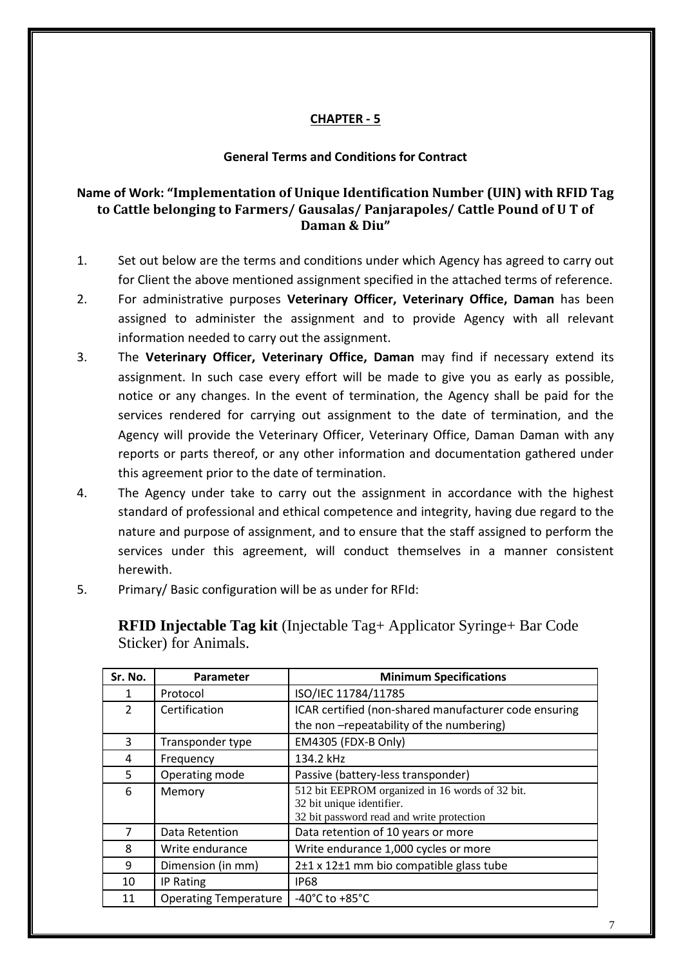## **General Terms and Conditions for Contract**

# **Name of Work: "Implementation of Unique Identification Number (UIN) with RFID Tag to Cattle belonging to Farmers/ Gausalas/ Panjarapoles/ Cattle Pound of U T of Daman & Diu"**

- 1. Set out below are the terms and conditions under which Agency has agreed to carry out for Client the above mentioned assignment specified in the attached terms of reference.
- 2. For administrative purposes **Veterinary Officer, Veterinary Office, Daman** has been assigned to administer the assignment and to provide Agency with all relevant information needed to carry out the assignment.
- 3. The **Veterinary Officer, Veterinary Office, Daman** may find if necessary extend its assignment. In such case every effort will be made to give you as early as possible, notice or any changes. In the event of termination, the Agency shall be paid for the services rendered for carrying out assignment to the date of termination, and the Agency will provide the Veterinary Officer, Veterinary Office, Daman Daman with any reports or parts thereof, or any other information and documentation gathered under this agreement prior to the date of termination.
- 4. The Agency under take to carry out the assignment in accordance with the highest standard of professional and ethical competence and integrity, having due regard to the nature and purpose of assignment, and to ensure that the staff assigned to perform the services under this agreement, will conduct themselves in a manner consistent herewith.
- 5. Primary/ Basic configuration will be as under for RFId:

**RFID Injectable Tag kit** (Injectable Tag+ Applicator Syringe+ Bar Code Sticker) for Animals.

| Sr. No.        | Parameter                    | <b>Minimum Specifications</b>                         |  |
|----------------|------------------------------|-------------------------------------------------------|--|
| 1              | Protocol                     | ISO/IEC 11784/11785                                   |  |
| $\mathcal{P}$  | Certification                | ICAR certified (non-shared manufacturer code ensuring |  |
|                |                              | the non-repeatability of the numbering)               |  |
| 3              | Transponder type             | EM4305 (FDX-B Only)                                   |  |
| 4              | Frequency                    | 134.2 kHz                                             |  |
| 5.             | Operating mode               | Passive (battery-less transponder)                    |  |
| 6              | Memory                       | 512 bit EEPROM organized in 16 words of 32 bit.       |  |
|                |                              | 32 bit unique identifier.                             |  |
|                |                              | 32 bit password read and write protection             |  |
| $\overline{7}$ | Data Retention               | Data retention of 10 years or more                    |  |
| 8              | Write endurance              | Write endurance 1,000 cycles or more                  |  |
| 9              | Dimension (in mm)            | 2±1 x 12±1 mm bio compatible glass tube               |  |
| 10             | IP Rating                    | <b>IP68</b>                                           |  |
| 11             | <b>Operating Temperature</b> | -40 $^{\circ}$ C to +85 $^{\circ}$ C                  |  |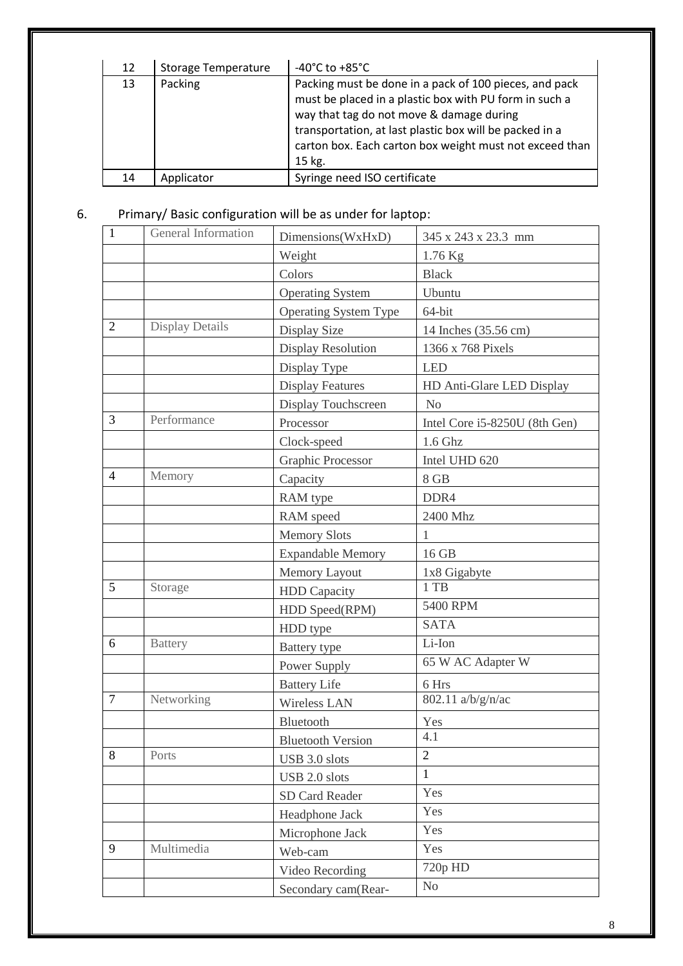| 12 | <b>Storage Temperature</b> | $-40^{\circ}$ C to $+85^{\circ}$ C                                                                                                                                                                                                                                                           |
|----|----------------------------|----------------------------------------------------------------------------------------------------------------------------------------------------------------------------------------------------------------------------------------------------------------------------------------------|
| 13 | Packing                    | Packing must be done in a pack of 100 pieces, and pack<br>must be placed in a plastic box with PU form in such a<br>way that tag do not move & damage during<br>transportation, at last plastic box will be packed in a<br>carton box. Each carton box weight must not exceed than<br>15 kg. |
| 14 | Applicator                 | Syringe need ISO certificate                                                                                                                                                                                                                                                                 |

# 6. Primary/ Basic configuration will be as under for laptop:

| $\mathbf{1}$   | General Information    | Dimensions(WxHxD)            | 345 x 243 x 23.3 mm           |
|----------------|------------------------|------------------------------|-------------------------------|
|                |                        | Weight                       | 1.76 Kg                       |
|                |                        | Colors                       | <b>Black</b>                  |
|                |                        | <b>Operating System</b>      | Ubuntu                        |
|                |                        | <b>Operating System Type</b> | 64-bit                        |
| $\overline{2}$ | <b>Display Details</b> | Display Size                 | 14 Inches (35.56 cm)          |
|                |                        | <b>Display Resolution</b>    | 1366 x 768 Pixels             |
|                |                        | Display Type                 | <b>LED</b>                    |
|                |                        | <b>Display Features</b>      | HD Anti-Glare LED Display     |
|                |                        | Display Touchscreen          | N <sub>o</sub>                |
| 3              | Performance            | Processor                    | Intel Core i5-8250U (8th Gen) |
|                |                        | Clock-speed                  | $1.6$ Ghz                     |
|                |                        | Graphic Processor            | Intel UHD 620                 |
| $\overline{4}$ | Memory                 | Capacity                     | 8 GB                          |
|                |                        | RAM type                     | DDR4                          |
|                |                        | RAM speed                    | 2400 Mhz                      |
|                |                        | <b>Memory Slots</b>          | 1                             |
|                |                        | <b>Expandable Memory</b>     | 16 GB                         |
|                |                        | <b>Memory Layout</b>         | 1x8 Gigabyte                  |
| 5              | Storage                | <b>HDD</b> Capacity          | 1 TB                          |
|                |                        | HDD Speed(RPM)               | 5400 RPM                      |
|                |                        | HDD type                     | <b>SATA</b>                   |
| 6              | <b>Battery</b>         | Battery type                 | Li-Ion                        |
|                |                        | Power Supply                 | 65 W AC Adapter W             |
|                |                        | <b>Battery Life</b>          | 6 Hrs                         |
| $\overline{7}$ | Networking             | Wireless LAN                 | 802.11 a/b/g/n/ac             |
|                |                        | Bluetooth                    | Yes                           |
|                |                        | <b>Bluetooth Version</b>     | 4.1                           |
| 8              | Ports                  | USB 3.0 slots                | $\overline{2}$                |
|                |                        | USB 2.0 slots                | $\mathbf{1}$                  |
|                |                        | <b>SD Card Reader</b>        | Yes                           |
|                |                        | Headphone Jack               | Yes                           |
|                |                        | Microphone Jack              | Yes                           |
| 9              | Multimedia             | Web-cam                      | Yes                           |
|                |                        | Video Recording              | 720p HD                       |
|                |                        | Secondary cam(Rear-          | N <sub>0</sub>                |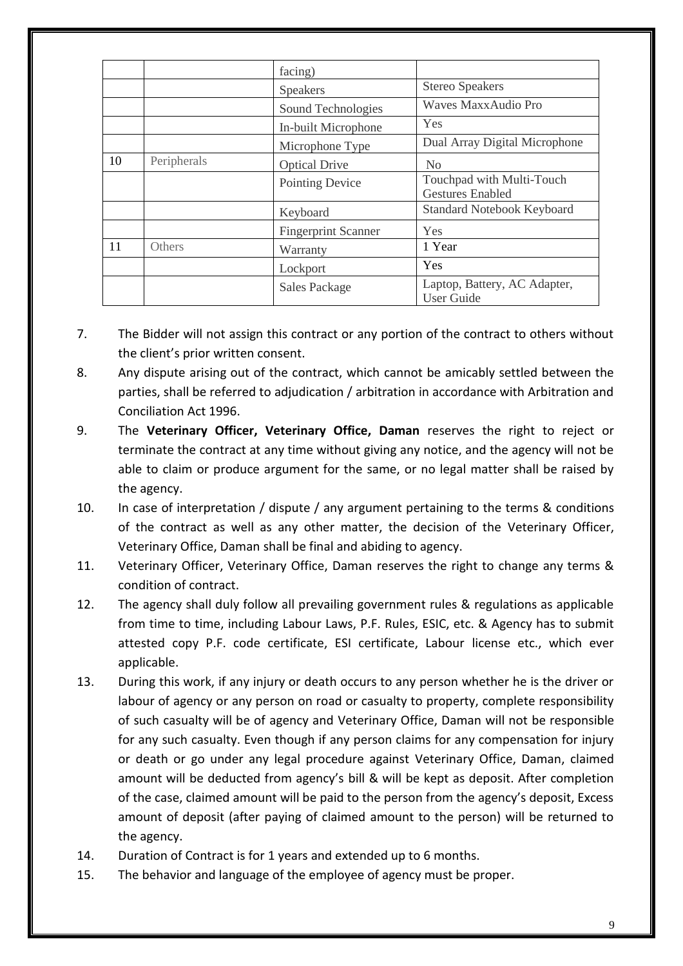|    |               | facing)                    |                                                      |
|----|---------------|----------------------------|------------------------------------------------------|
|    |               | <b>Speakers</b>            | <b>Stereo Speakers</b>                               |
|    |               | Sound Technologies         | Waves MaxxAudio Pro                                  |
|    |               | In-built Microphone        | Yes                                                  |
|    |               | Microphone Type            | Dual Array Digital Microphone                        |
| 10 | Peripherals   | <b>Optical Drive</b>       | N <sub>0</sub>                                       |
|    |               | <b>Pointing Device</b>     | Touchpad with Multi-Touch<br><b>Gestures Enabled</b> |
|    |               | Keyboard                   | <b>Standard Notebook Keyboard</b>                    |
|    |               | <b>Fingerprint Scanner</b> | Yes                                                  |
| 11 | <b>Others</b> | Warranty                   | 1 Year                                               |
|    |               | Lockport                   | Yes                                                  |
|    |               | <b>Sales Package</b>       | Laptop, Battery, AC Adapter,<br><b>User Guide</b>    |

- 7. The Bidder will not assign this contract or any portion of the contract to others without the client's prior written consent.
- 8. Any dispute arising out of the contract, which cannot be amicably settled between the parties, shall be referred to adjudication / arbitration in accordance with Arbitration and Conciliation Act 1996.
- 9. The **Veterinary Officer, Veterinary Office, Daman** reserves the right to reject or terminate the contract at any time without giving any notice, and the agency will not be able to claim or produce argument for the same, or no legal matter shall be raised by the agency.
- 10. In case of interpretation / dispute / any argument pertaining to the terms & conditions of the contract as well as any other matter, the decision of the Veterinary Officer, Veterinary Office, Daman shall be final and abiding to agency.
- 11. Veterinary Officer, Veterinary Office, Daman reserves the right to change any terms & condition of contract.
- 12. The agency shall duly follow all prevailing government rules & regulations as applicable from time to time, including Labour Laws, P.F. Rules, ESIC, etc. & Agency has to submit attested copy P.F. code certificate, ESI certificate, Labour license etc., which ever applicable.
- 13. During this work, if any injury or death occurs to any person whether he is the driver or labour of agency or any person on road or casualty to property, complete responsibility of such casualty will be of agency and Veterinary Office, Daman will not be responsible for any such casualty. Even though if any person claims for any compensation for injury or death or go under any legal procedure against Veterinary Office, Daman, claimed amount will be deducted from agency's bill & will be kept as deposit. After completion of the case, claimed amount will be paid to the person from the agency's deposit, Excess amount of deposit (after paying of claimed amount to the person) will be returned to the agency.
- 14. Duration of Contract is for 1 years and extended up to 6 months.
- 15. The behavior and language of the employee of agency must be proper.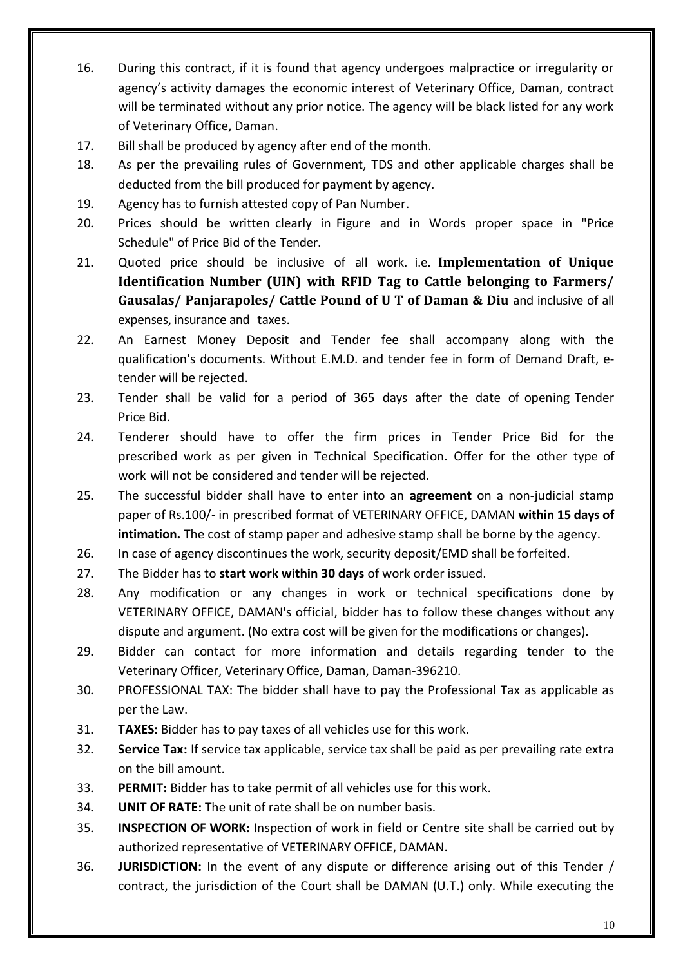- 16. During this contract, if it is found that agency undergoes malpractice or irregularity or agency's activity damages the economic interest of Veterinary Office, Daman, contract will be terminated without any prior notice. The agency will be black listed for any work of Veterinary Office, Daman.
- 17. Bill shall be produced by agency after end of the month.
- 18. As per the prevailing rules of Government, TDS and other applicable charges shall be deducted from the bill produced for payment by agency.
- 19. Agency has to furnish attested copy of Pan Number.
- 20. Prices should be written clearly in Figure and in Words proper space in "Price Schedule" of Price Bid of the Tender.
- 21. Quoted price should be inclusive of all work. i.e. **Implementation of Unique Identification Number (UIN) with RFID Tag to Cattle belonging to Farmers/ Gausalas/ Panjarapoles/ Cattle Pound of U T of Daman & Diu** and inclusive of all expenses, insurance and taxes.
- 22. An Earnest Money Deposit and Tender fee shall accompany along with the qualification's documents. Without E.M.D. and tender fee in form of Demand Draft, etender will be rejected.
- 23. Tender shall be valid for a period of 365 days after the date of opening Tender Price Bid.
- 24. Tenderer should have to offer the firm prices in Tender Price Bid for the prescribed work as per given in Technical Specification. Offer for the other type of work will not be considered and tender will be rejected.
- 25. The successful bidder shall have to enter into an **agreement** on a non-judicial stamp paper of Rs.100/- in prescribed format of VETERINARY OFFICE, DAMAN **within 15 days of intimation.** The cost of stamp paper and adhesive stamp shall be borne by the agency.
- 26. In case of agency discontinues the work, security deposit/EMD shall be forfeited.
- 27. The Bidder has to **start work within 30 days** of work order issued.
- 28. Any modification or any changes in work or technical specifications done by VETERINARY OFFICE, DAMAN's official, bidder has to follow these changes without any dispute and argument. (No extra cost will be given for the modifications or changes).
- 29. Bidder can contact for more information and details regarding tender to the Veterinary Officer, Veterinary Office, Daman, Daman-396210.
- 30. PROFESSIONAL TAX: The bidder shall have to pay the Professional Tax as applicable as per the Law.
- 31. **TAXES:** Bidder has to pay taxes of all vehicles use for this work.
- 32. **Service Tax:** If service tax applicable, service tax shall be paid as per prevailing rate extra on the bill amount.
- 33. **PERMIT:** Bidder has to take permit of all vehicles use for this work.
- 34. **UNIT OF RATE:** The unit of rate shall be on number basis.
- 35. **INSPECTION OF WORK:** Inspection of work in field or Centre site shall be carried out by authorized representative of VETERINARY OFFICE, DAMAN.
- 36. **JURISDICTION:** In the event of any dispute or difference arising out of this Tender / contract, the jurisdiction of the Court shall be DAMAN (U.T.) only. While executing the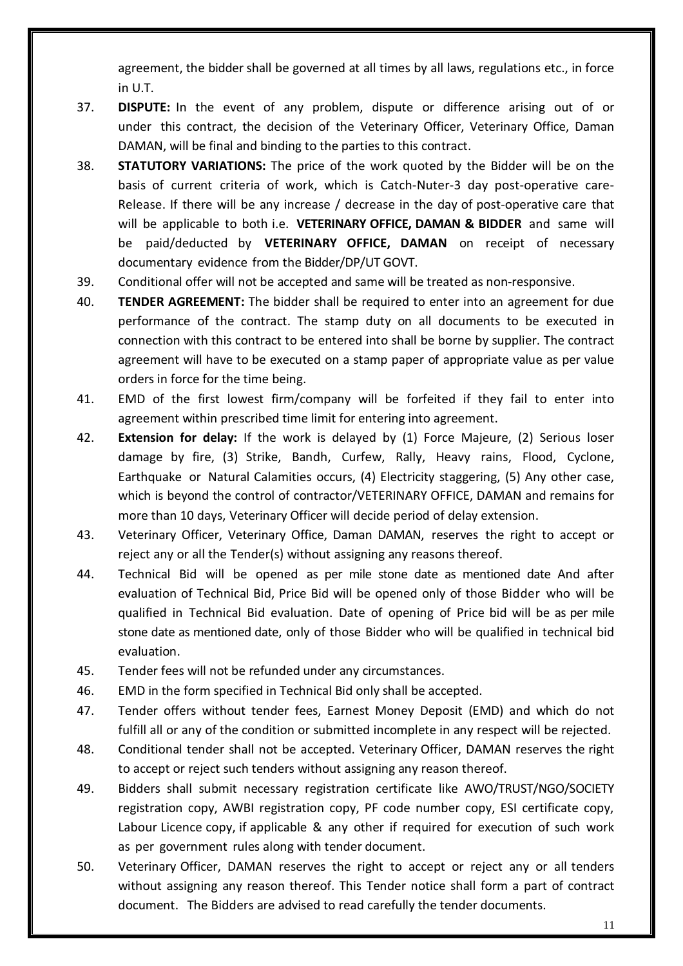agreement, the bidder shall be governed at all times by all laws, regulations etc., in force in U.T.

- 37. **DISPUTE:** In the event of any problem, dispute or difference arising out of or under this contract, the decision of the Veterinary Officer, Veterinary Office, Daman DAMAN, will be final and binding to the parties to this contract.
- 38. **STATUTORY VARIATIONS:** The price of the work quoted by the Bidder will be on the basis of current criteria of work, which is Catch-Nuter-3 day post-operative care-Release. If there will be any increase / decrease in the day of post-operative care that will be applicable to both i.e. **VETERINARY OFFICE, DAMAN & BIDDER** and same will be paid/deducted by **VETERINARY OFFICE, DAMAN** on receipt of necessary documentary evidence from the Bidder/DP/UT GOVT.
- 39. Conditional offer will not be accepted and same will be treated as non-responsive.
- 40. **TENDER AGREEMENT:** The bidder shall be required to enter into an agreement for due performance of the contract. The stamp duty on all documents to be executed in connection with this contract to be entered into shall be borne by supplier. The contract agreement will have to be executed on a stamp paper of appropriate value as per value orders in force for the time being.
- 41. EMD of the first lowest firm/company will be forfeited if they fail to enter into agreement within prescribed time limit for entering into agreement.
- 42. **Extension for delay:** If the work is delayed by (1) Force Majeure, (2) Serious loser damage by fire, (3) Strike, Bandh, Curfew, Rally, Heavy rains, Flood, Cyclone, Earthquake or Natural Calamities occurs, (4) Electricity staggering, (5) Any other case, which is beyond the control of contractor/VETERINARY OFFICE, DAMAN and remains for more than 10 days, Veterinary Officer will decide period of delay extension.
- 43. Veterinary Officer, Veterinary Office, Daman DAMAN, reserves the right to accept or reject any or all the Tender(s) without assigning any reasons thereof.
- 44. Technical Bid will be opened as per mile stone date as mentioned date And after evaluation of Technical Bid, Price Bid will be opened only of those Bidder who will be qualified in Technical Bid evaluation. Date of opening of Price bid will be as per mile stone date as mentioned date, only of those Bidder who will be qualified in technical bid evaluation.
- 45. Tender fees will not be refunded under any circumstances.
- 46. EMD in the form specified in Technical Bid only shall be accepted.
- 47. Tender offers without tender fees, Earnest Money Deposit (EMD) and which do not fulfill all or any of the condition or submitted incomplete in any respect will be rejected.
- 48. Conditional tender shall not be accepted. Veterinary Officer, DAMAN reserves the right to accept or reject such tenders without assigning any reason thereof.
- 49. Bidders shall submit necessary registration certificate like AWO/TRUST/NGO/SOCIETY registration copy, AWBI registration copy, PF code number copy, ESI certificate copy, Labour Licence copy, if applicable & any other if required for execution of such work as per government rules along with tender document.
- 50. Veterinary Officer, DAMAN reserves the right to accept or reject any or all tenders without assigning any reason thereof. This Tender notice shall form a part of contract document. The Bidders are advised to read carefully the tender documents.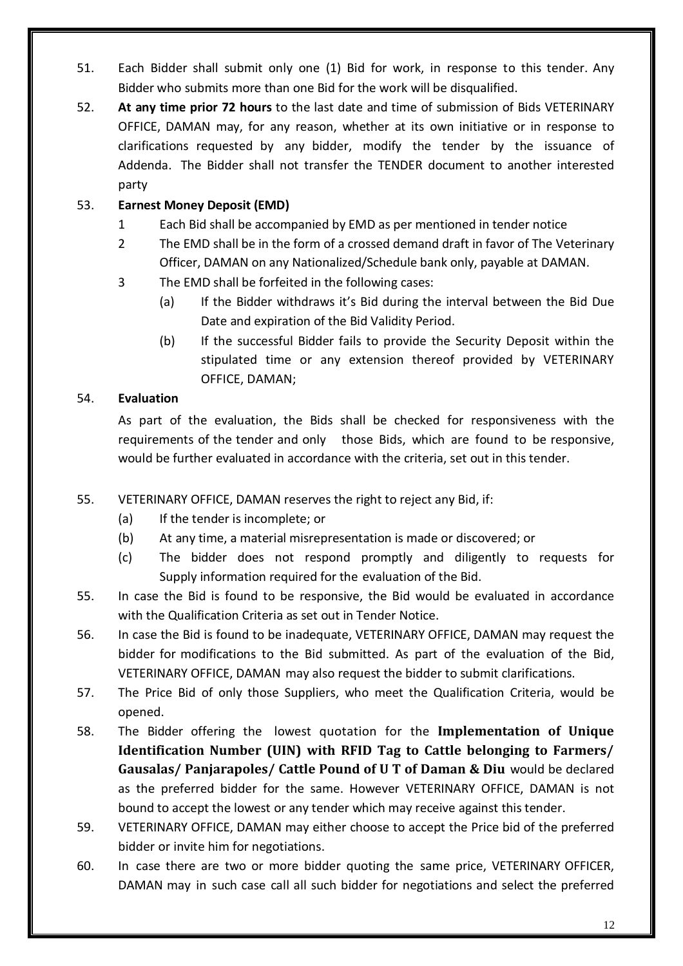- 51. Each Bidder shall submit only one (1) Bid for work, in response to this tender. Any Bidder who submits more than one Bid for the work will be disqualified.
- 52. **At any time prior 72 hours** to the last date and time of submission of Bids VETERINARY OFFICE, DAMAN may, for any reason, whether at its own initiative or in response to clarifications requested by any bidder, modify the tender by the issuance of Addenda. The Bidder shall not transfer the TENDER document to another interested party

# 53. **Earnest Money Deposit (EMD)**

- 1 Each Bid shall be accompanied by EMD as per mentioned in tender notice
- 2 The EMD shall be in the form of a crossed demand draft in favor of The Veterinary Officer, DAMAN on any Nationalized/Schedule bank only, payable at DAMAN.
- 3 The EMD shall be forfeited in the following cases:
	- (a) If the Bidder withdraws it's Bid during the interval between the Bid Due Date and expiration of the Bid Validity Period.
	- (b) If the successful Bidder fails to provide the Security Deposit within the stipulated time or any extension thereof provided by VETERINARY OFFICE, DAMAN;

# 54. **Evaluation**

As part of the evaluation, the Bids shall be checked for responsiveness with the requirements of the tender and only those Bids, which are found to be responsive, would be further evaluated in accordance with the criteria, set out in this tender.

- 55. VETERINARY OFFICE, DAMAN reserves the right to reject any Bid, if:
	- (a) If the tender is incomplete; or
	- (b) At any time, a material misrepresentation is made or discovered; or
	- (c) The bidder does not respond promptly and diligently to requests for Supply information required for the evaluation of the Bid.
- 55. In case the Bid is found to be responsive, the Bid would be evaluated in accordance with the Qualification Criteria as set out in Tender Notice.
- 56. In case the Bid is found to be inadequate, VETERINARY OFFICE, DAMAN may request the bidder for modifications to the Bid submitted. As part of the evaluation of the Bid, VETERINARY OFFICE, DAMAN may also request the bidder to submit clarifications.
- 57. The Price Bid of only those Suppliers, who meet the Qualification Criteria, would be opened.
- 58. The Bidder offering the lowest quotation for the **Implementation of Unique Identification Number (UIN) with RFID Tag to Cattle belonging to Farmers/ Gausalas/ Panjarapoles/ Cattle Pound of U T of Daman & Diu** would be declared as the preferred bidder for the same. However VETERINARY OFFICE, DAMAN is not bound to accept the lowest or any tender which may receive against this tender.
- 59. VETERINARY OFFICE, DAMAN may either choose to accept the Price bid of the preferred bidder or invite him for negotiations.
- 60. In case there are two or more bidder quoting the same price, VETERINARY OFFICER, DAMAN may in such case call all such bidder for negotiations and select the preferred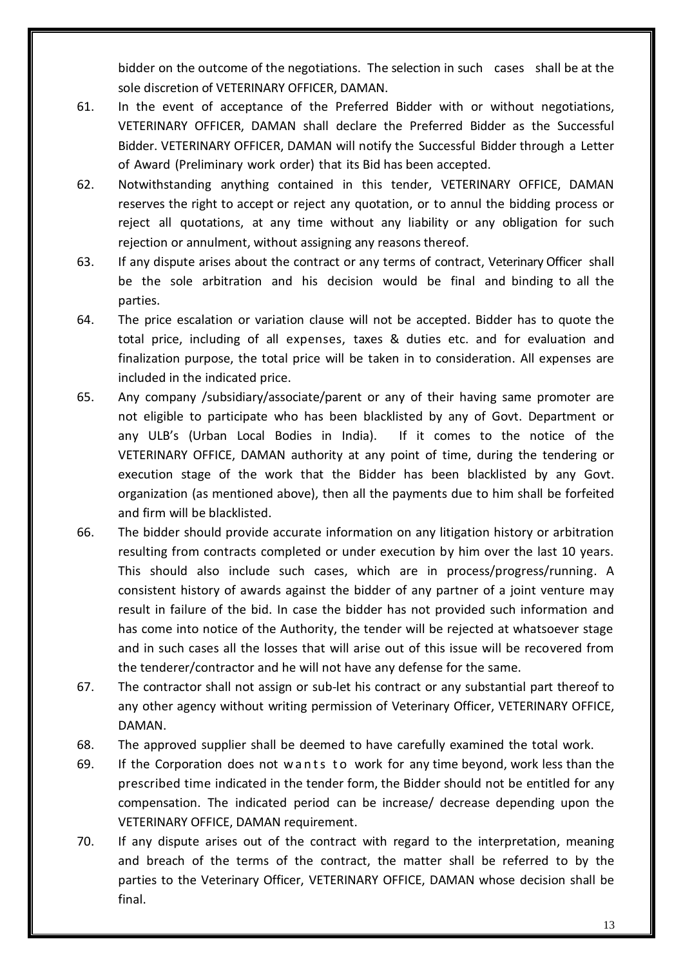bidder on the outcome of the negotiations. The selection in such cases shall be at the sole discretion of VETERINARY OFFICER, DAMAN.

- 61. In the event of acceptance of the Preferred Bidder with or without negotiations, VETERINARY OFFICER, DAMAN shall declare the Preferred Bidder as the Successful Bidder. VETERINARY OFFICER, DAMAN will notify the Successful Bidder through a Letter of Award (Preliminary work order) that its Bid has been accepted.
- 62. Notwithstanding anything contained in this tender, VETERINARY OFFICE, DAMAN reserves the right to accept or reject any quotation, or to annul the bidding process or reject all quotations, at any time without any liability or any obligation for such rejection or annulment, without assigning any reasons thereof.
- 63. If any dispute arises about the contract or any terms of contract, Veterinary Officer shall be the sole arbitration and his decision would be final and binding to all the parties.
- 64. The price escalation or variation clause will not be accepted. Bidder has to quote the total price, including of all expenses, taxes & duties etc. and for evaluation and finalization purpose, the total price will be taken in to consideration. All expenses are included in the indicated price.
- 65. Any company /subsidiary/associate/parent or any of their having same promoter are not eligible to participate who has been blacklisted by any of Govt. Department or any ULB's (Urban Local Bodies in India). If it comes to the notice of the VETERINARY OFFICE, DAMAN authority at any point of time, during the tendering or execution stage of the work that the Bidder has been blacklisted by any Govt. organization (as mentioned above), then all the payments due to him shall be forfeited and firm will be blacklisted.
- 66. The bidder should provide accurate information on any litigation history or arbitration resulting from contracts completed or under execution by him over the last 10 years. This should also include such cases, which are in process/progress/running. A consistent history of awards against the bidder of any partner of a joint venture may result in failure of the bid. In case the bidder has not provided such information and has come into notice of the Authority, the tender will be rejected at whatsoever stage and in such cases all the losses that will arise out of this issue will be recovered from the tenderer/contractor and he will not have any defense for the same.
- 67. The contractor shall not assign or sub-let his contract or any substantial part thereof to any other agency without writing permission of Veterinary Officer, VETERINARY OFFICE, DAMAN.
- 68. The approved supplier shall be deemed to have carefully examined the total work.
- 69. If the Corporation does not w ants to work for any time beyond, work less than the prescribed time indicated in the tender form, the Bidder should not be entitled for any compensation. The indicated period can be increase/ decrease depending upon the VETERINARY OFFICE, DAMAN requirement.
- 70. If any dispute arises out of the contract with regard to the interpretation, meaning and breach of the terms of the contract, the matter shall be referred to by the parties to the Veterinary Officer, VETERINARY OFFICE, DAMAN whose decision shall be final.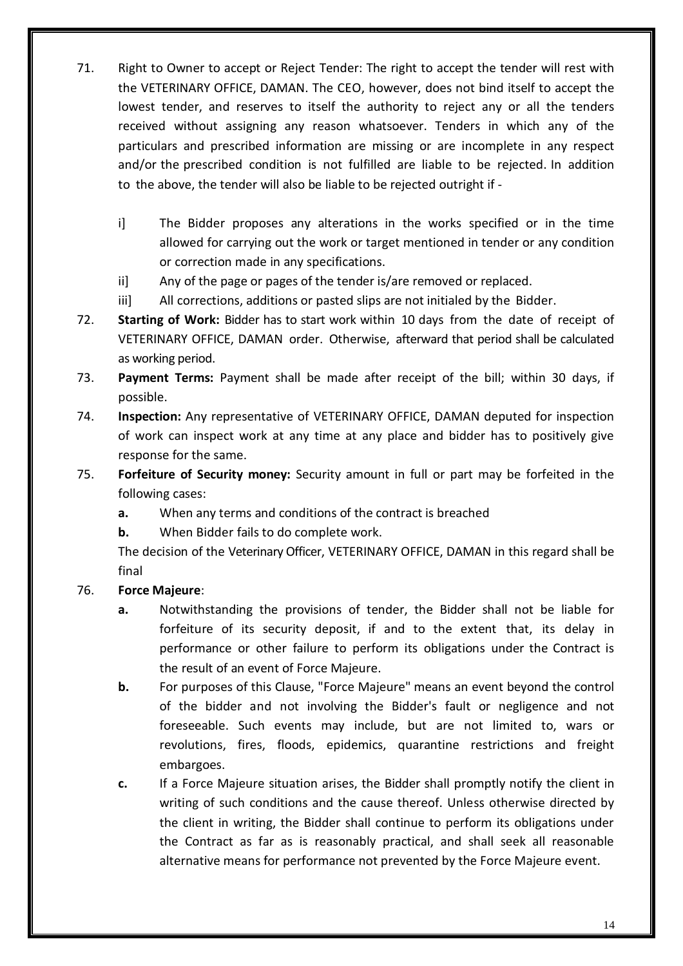- 71. Right to Owner to accept or Reject Tender: The right to accept the tender will rest with the VETERINARY OFFICE, DAMAN. The CEO, however, does not bind itself to accept the lowest tender, and reserves to itself the authority to reject any or all the tenders received without assigning any reason whatsoever. Tenders in which any of the particulars and prescribed information are missing or are incomplete in any respect and/or the prescribed condition is not fulfilled are liable to be rejected. In addition to the above, the tender will also be liable to be rejected outright if
	- i] The Bidder proposes any alterations in the works specified or in the time allowed for carrying out the work or target mentioned in tender or any condition or correction made in any specifications.
	- ii] Any of the page or pages of the tender is/are removed or replaced.
	- iii] All corrections, additions or pasted slips are not initialed by the Bidder.
- 72. **Starting of Work:** Bidder has to start work within 10 days from the date of receipt of VETERINARY OFFICE, DAMAN order. Otherwise, afterward that period shall be calculated as working period.
- 73. **Payment Terms:** Payment shall be made after receipt of the bill; within 30 days, if possible.
- 74. **Inspection:** Any representative of VETERINARY OFFICE, DAMAN deputed for inspection of work can inspect work at any time at any place and bidder has to positively give response for the same.
- 75. **Forfeiture of Security money:** Security amount in full or part may be forfeited in the following cases:
	- **a.** When any terms and conditions of the contract is breached
	- **b.** When Bidder fails to do complete work.

The decision of the Veterinary Officer, VETERINARY OFFICE, DAMAN in this regard shall be final

# 76. **Force Majeure**:

- **a.** Notwithstanding the provisions of tender, the Bidder shall not be liable for forfeiture of its security deposit, if and to the extent that, its delay in performance or other failure to perform its obligations under the Contract is the result of an event of Force Majeure.
- **b.** For purposes of this Clause, "Force Majeure" means an event beyond the control of the bidder and not involving the Bidder's fault or negligence and not foreseeable. Such events may include, but are not limited to, wars or revolutions, fires, floods, epidemics, quarantine restrictions and freight embargoes.
- **c.** If a Force Majeure situation arises, the Bidder shall promptly notify the client in writing of such conditions and the cause thereof. Unless otherwise directed by the client in writing, the Bidder shall continue to perform its obligations under the Contract as far as is reasonably practical, and shall seek all reasonable alternative means for performance not prevented by the Force Majeure event.